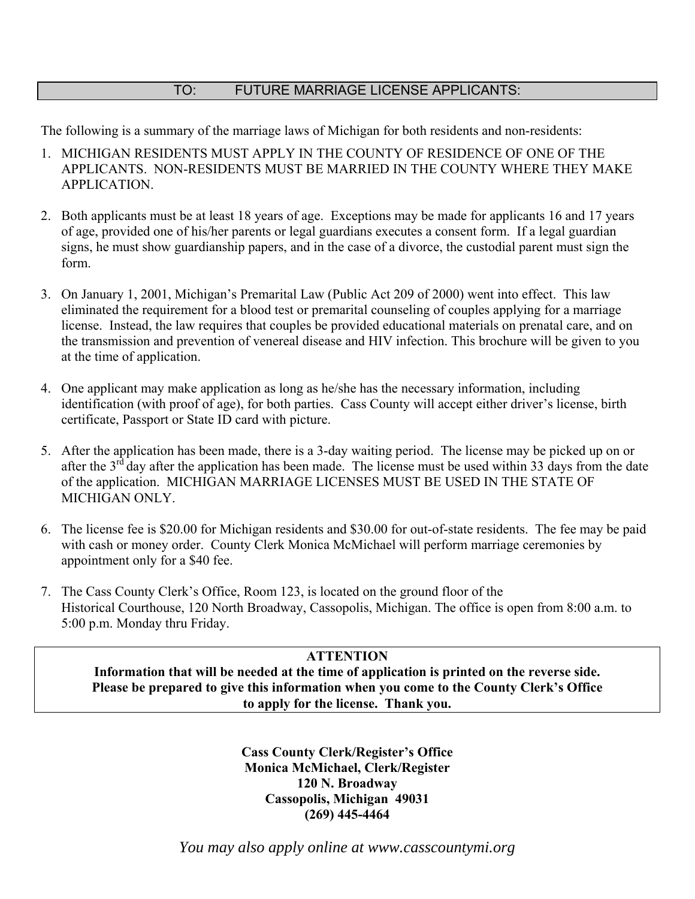## TO: FUTURE MARRIAGE LICENSE APPLICANTS:

The following is a summary of the marriage laws of Michigan for both residents and non-residents:

- 1. MICHIGAN RESIDENTS MUST APPLY IN THE COUNTY OF RESIDENCE OF ONE OF THE APPLICANTS. NON-RESIDENTS MUST BE MARRIED IN THE COUNTY WHERE THEY MAKE APPLICATION.
- 2. Both applicants must be at least 18 years of age. Exceptions may be made for applicants 16 and 17 years of age, provided one of his/her parents or legal guardians executes a consent form. If a legal guardian signs, he must show guardianship papers, and in the case of a divorce, the custodial parent must sign the form.
- 3. On January 1, 2001, Michigan's Premarital Law (Public Act 209 of 2000) went into effect. This law eliminated the requirement for a blood test or premarital counseling of couples applying for a marriage license. Instead, the law requires that couples be provided educational materials on prenatal care, and on the transmission and prevention of venereal disease and HIV infection. This brochure will be given to you at the time of application.
- 4. One applicant may make application as long as he/she has the necessary information, including identification (with proof of age), for both parties. Cass County will accept either driver's license, birth certificate, Passport or State ID card with picture.
- 5. After the application has been made, there is a 3-day waiting period. The license may be picked up on or after the 3<sup>rd</sup> day after the application has been made. The license must be used within 33 days from the date of the application. MICHIGAN MARRIAGE LICENSES MUST BE USED IN THE STATE OF MICHIGAN ONLY.
- 6. The license fee is \$20.00 for Michigan residents and \$30.00 for out-of-state residents. The fee may be paid with cash or money order. County Clerk Monica McMichael will perform marriage ceremonies by appointment only for a \$40 fee.
- 7. The Cass County Clerk's Office, Room 123, is located on the ground floor of the Historical Courthouse, 120 North Broadway, Cassopolis, Michigan. The office is open from 8:00 a.m. to 5:00 p.m. Monday thru Friday.

## **ATTENTION**

**Information that will be needed at the time of application is printed on the reverse side. Please be prepared to give this information when you come to the County Clerk's Office to apply for the license. Thank you.** 

> **Cass County Clerk/Register's Office Monica McMichael, Clerk/Register 120 N. Broadway Cassopolis, Michigan 49031 (269) 445-4464**

*You may also apply online at www.casscountymi.org*